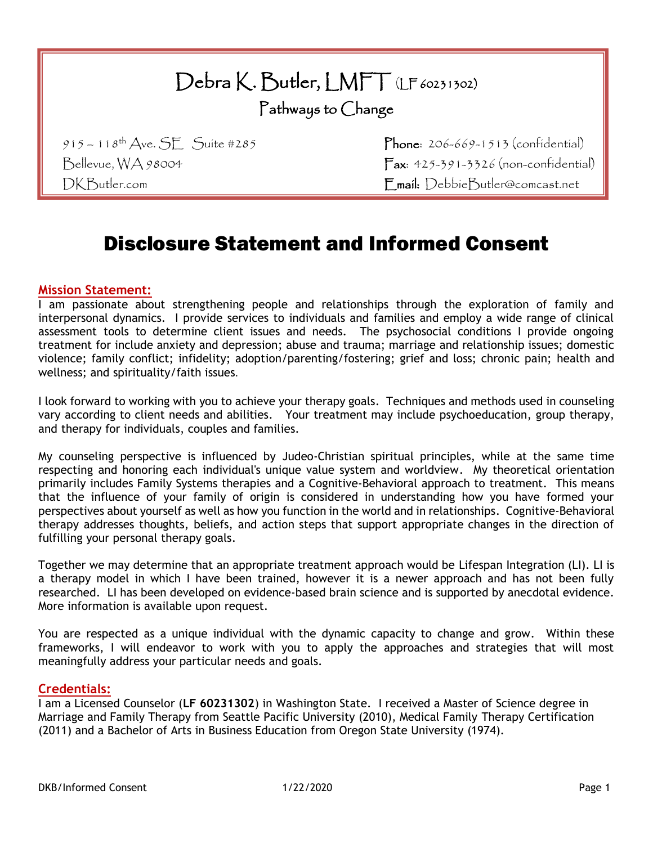# Debra K. Butler, LMFT (LF 60231302)

Pathways to Change

 $915 - 118$ <sup>th</sup> Ave. SE Suite #285 Phone: 206-669-1513 (confidential) Bellevue, WA 98004 Fax: 425-391-3326 (non-confidential) DKButler.com Email: DebbieButler@comcast.net

## Disclosure Statement and Informed Consent

### **Mission Statement:**

I am passionate about strengthening people and relationships through the exploration of family and interpersonal dynamics. I provide services to individuals and families and employ a wide range of clinical assessment tools to determine client issues and needs. The psychosocial conditions I provide ongoing treatment for include anxiety and depression; abuse and trauma; marriage and relationship issues; domestic violence; family conflict; infidelity; adoption/parenting/fostering; grief and loss; chronic pain; health and wellness; and spirituality/faith issues.

I look forward to working with you to achieve your therapy goals. Techniques and methods used in counseling vary according to client needs and abilities. Your treatment may include psychoeducation, group therapy, and therapy for individuals, couples and families.

My counseling perspective is influenced by Judeo-Christian spiritual principles, while at the same time respecting and honoring each individual's unique value system and worldview. My theoretical orientation primarily includes Family Systems therapies and a Cognitive-Behavioral approach to treatment. This means that the influence of your family of origin is considered in understanding how you have formed your perspectives about yourself as well as how you function in the world and in relationships. Cognitive-Behavioral therapy addresses thoughts, beliefs, and action steps that support appropriate changes in the direction of fulfilling your personal therapy goals.

Together we may determine that an appropriate treatment approach would be Lifespan Integration (LI). LI is a therapy model in which I have been trained, however it is a newer approach and has not been fully researched. LI has been developed on evidence-based brain science and is supported by anecdotal evidence. More information is available upon request.

You are respected as a unique individual with the dynamic capacity to change and grow. Within these frameworks, I will endeavor to work with you to apply the approaches and strategies that will most meaningfully address your particular needs and goals.

#### **Credentials:**

I am a Licensed Counselor (**LF 60231302**) in Washington State. I received a Master of Science degree in Marriage and Family Therapy from Seattle Pacific University (2010), Medical Family Therapy Certification (2011) and a Bachelor of Arts in Business Education from Oregon State University (1974).